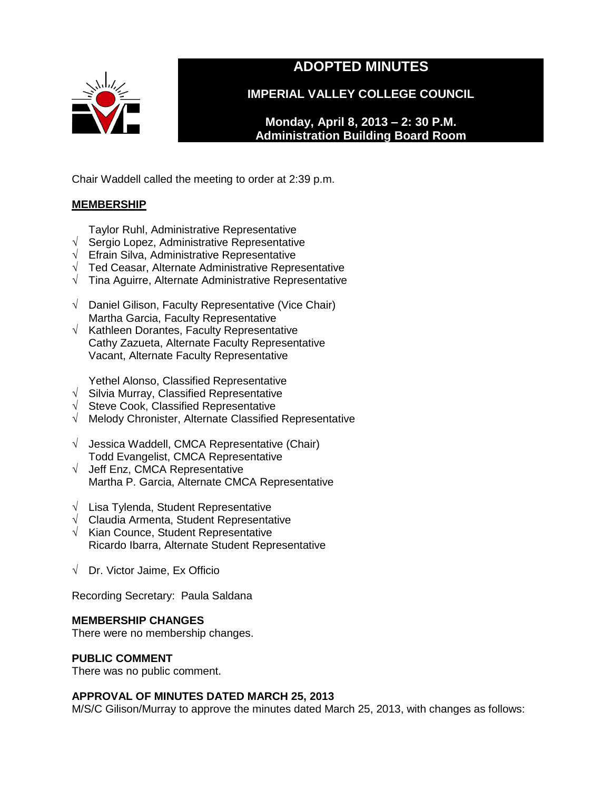

# **ADOPTED MINUTES**

**IMPERIAL VALLEY COLLEGE COUNCIL**

**Monday, April 8, 2013 – 2: 30 P.M. Administration Building Board Room** 

Chair Waddell called the meeting to order at 2:39 p.m.

# **MEMBERSHIP**

- Taylor Ruhl, Administrative Representative
- √ Sergio Lopez, Administrative Representative
- $\sqrt{\phantom{a}}$  Efrain Silva, Administrative Representative
- √ Ted Ceasar, Alternate Administrative Representative
- √ Tina Aguirre, Alternate Administrative Representative
- √ Daniel Gilison, Faculty Representative (Vice Chair) Martha Garcia, Faculty Representative
- $\sqrt{ }$  Kathleen Dorantes, Faculty Representative Cathy Zazueta, Alternate Faculty Representative Vacant, Alternate Faculty Representative

Yethel Alonso, Classified Representative

- $\sqrt{\phantom{a}}$  Silvia Murray, Classified Representative
- √ Steve Cook, Classified Representative
- √ Melody Chronister, Alternate Classified Representative
- √ Jessica Waddell, CMCA Representative (Chair) Todd Evangelist, CMCA Representative
- √ Jeff Enz, CMCA Representative Martha P. Garcia, Alternate CMCA Representative
- √ Lisa Tylenda, Student Representative
- √ Claudia Armenta, Student Representative
- √ Kian Counce, Student Representative Ricardo Ibarra, Alternate Student Representative
- √ Dr. Victor Jaime, Ex Officio

Recording Secretary: Paula Saldana

# **MEMBERSHIP CHANGES**

There were no membership changes.

# **PUBLIC COMMENT**

There was no public comment.

# **APPROVAL OF MINUTES DATED MARCH 25, 2013**

M/S/C Gilison/Murray to approve the minutes dated March 25, 2013, with changes as follows: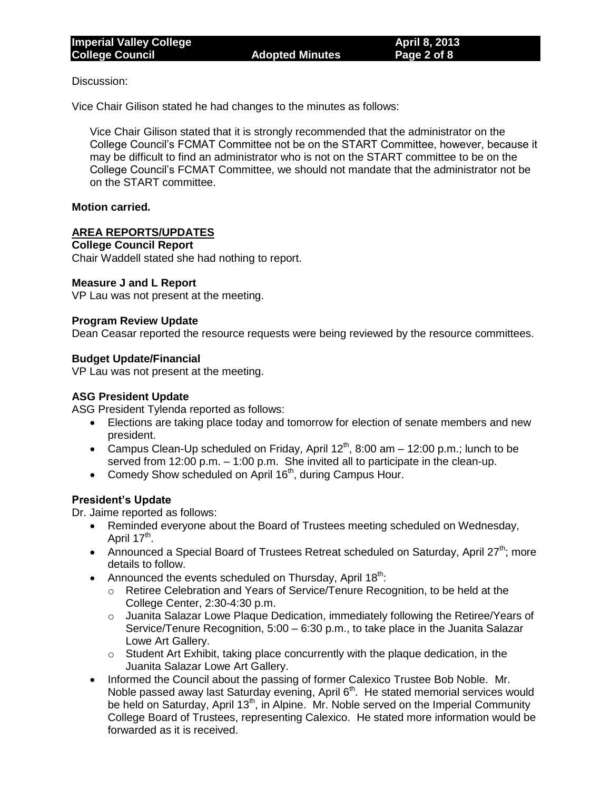Discussion:

Vice Chair Gilison stated he had changes to the minutes as follows:

Vice Chair Gilison stated that it is strongly recommended that the administrator on the College Council's FCMAT Committee not be on the START Committee, however, because it may be difficult to find an administrator who is not on the START committee to be on the College Council's FCMAT Committee, we should not mandate that the administrator not be on the START committee.

## **Motion carried.**

## **AREA REPORTS/UPDATES**

## **College Council Report**

Chair Waddell stated she had nothing to report.

## **Measure J and L Report**

VP Lau was not present at the meeting.

## **Program Review Update**

Dean Ceasar reported the resource requests were being reviewed by the resource committees.

## **Budget Update/Financial**

VP Lau was not present at the meeting.

## **ASG President Update**

ASG President Tylenda reported as follows:

- Elections are taking place today and tomorrow for election of senate members and new president.
- Campus Clean-Up scheduled on Friday, April  $12<sup>th</sup>$ , 8:00 am 12:00 p.m.; lunch to be served from 12:00 p.m. – 1:00 p.m. She invited all to participate in the clean-up.
- Comedy Show scheduled on April 16<sup>th</sup>, during Campus Hour.

# **President's Update**

Dr. Jaime reported as follows:

- Reminded everyone about the Board of Trustees meeting scheduled on Wednesday, April 17<sup>th</sup>.
- Announced a Special Board of Trustees Retreat scheduled on Saturday, April 27<sup>th</sup>; more details to follow.
- Announced the events scheduled on Thursday, April  $18<sup>th</sup>$ :
	- o Retiree Celebration and Years of Service/Tenure Recognition, to be held at the College Center, 2:30-4:30 p.m.
	- o Juanita Salazar Lowe Plaque Dedication, immediately following the Retiree/Years of Service/Tenure Recognition, 5:00 – 6:30 p.m., to take place in the Juanita Salazar Lowe Art Gallery.
	- $\circ$  Student Art Exhibit, taking place concurrently with the plaque dedication, in the Juanita Salazar Lowe Art Gallery.
- Informed the Council about the passing of former Calexico Trustee Bob Noble. Mr. Noble passed away last Saturday evening, April  $6<sup>th</sup>$ . He stated memorial services would be held on Saturday, April 13<sup>th</sup>, in Alpine. Mr. Noble served on the Imperial Community College Board of Trustees, representing Calexico. He stated more information would be forwarded as it is received.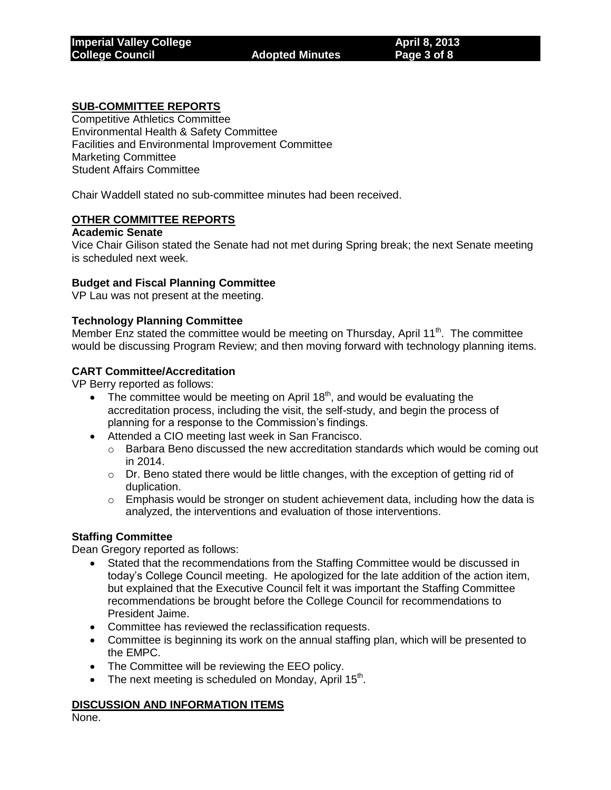## **SUB-COMMITTEE REPORTS**

Competitive Athletics Committee Environmental Health & Safety Committee Facilities and Environmental Improvement Committee Marketing Committee Student Affairs Committee

Chair Waddell stated no sub-committee minutes had been received.

## **OTHER COMMITTEE REPORTS**

#### **Academic Senate**

Vice Chair Gilison stated the Senate had not met during Spring break; the next Senate meeting is scheduled next week.

## **Budget and Fiscal Planning Committee**

VP Lau was not present at the meeting.

## **Technology Planning Committee**

Member Enz stated the committee would be meeting on Thursday, April 11<sup>th</sup>. The committee would be discussing Program Review; and then moving forward with technology planning items.

## **CART Committee/Accreditation**

VP Berry reported as follows:

- The committee would be meeting on April 18<sup>th</sup>, and would be evaluating the accreditation process, including the visit, the self-study, and begin the process of planning for a response to the Commission's findings.
- Attended a CIO meeting last week in San Francisco.
	- $\circ$  Barbara Beno discussed the new accreditation standards which would be coming out in 2014.
	- $\circ$  Dr. Beno stated there would be little changes, with the exception of getting rid of duplication.
	- $\circ$  Emphasis would be stronger on student achievement data, including how the data is analyzed, the interventions and evaluation of those interventions.

## **Staffing Committee**

Dean Gregory reported as follows:

- Stated that the recommendations from the Staffing Committee would be discussed in today's College Council meeting. He apologized for the late addition of the action item, but explained that the Executive Council felt it was important the Staffing Committee recommendations be brought before the College Council for recommendations to President Jaime.
- Committee has reviewed the reclassification requests.
- Committee is beginning its work on the annual staffing plan, which will be presented to the EMPC.
- The Committee will be reviewing the EEO policy.
- The next meeting is scheduled on Monday, April 15<sup>th</sup>.

## **DISCUSSION AND INFORMATION ITEMS**

None.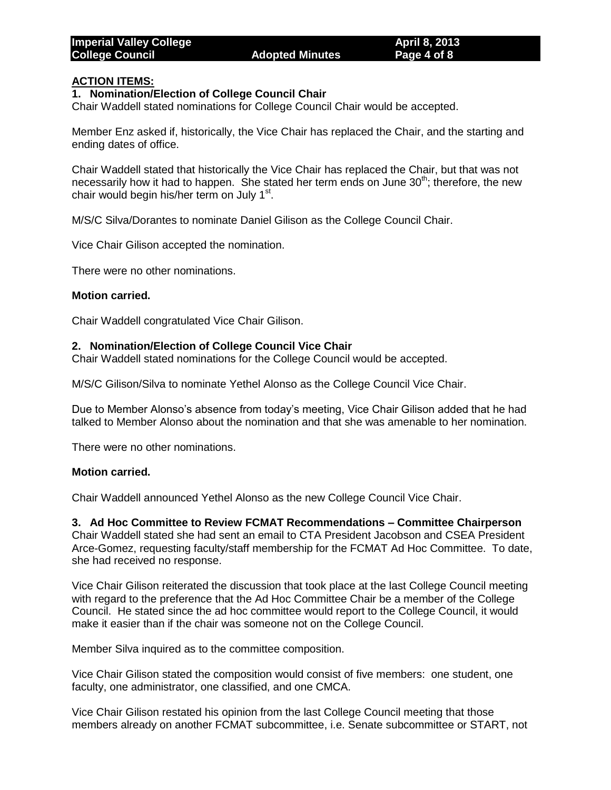# **ACTION ITEMS:**

## **1. Nomination/Election of College Council Chair**

Chair Waddell stated nominations for College Council Chair would be accepted.

Member Enz asked if, historically, the Vice Chair has replaced the Chair, and the starting and ending dates of office.

Chair Waddell stated that historically the Vice Chair has replaced the Chair, but that was not necessarily how it had to happen. She stated her term ends on June  $30<sup>th</sup>$ ; therefore, the new chair would begin his/her term on July 1<sup>st</sup>.

M/S/C Silva/Dorantes to nominate Daniel Gilison as the College Council Chair.

Vice Chair Gilison accepted the nomination.

There were no other nominations.

#### **Motion carried.**

Chair Waddell congratulated Vice Chair Gilison.

#### **2. Nomination/Election of College Council Vice Chair**

Chair Waddell stated nominations for the College Council would be accepted.

M/S/C Gilison/Silva to nominate Yethel Alonso as the College Council Vice Chair.

Due to Member Alonso's absence from today's meeting, Vice Chair Gilison added that he had talked to Member Alonso about the nomination and that she was amenable to her nomination.

There were no other nominations.

## **Motion carried.**

Chair Waddell announced Yethel Alonso as the new College Council Vice Chair.

**3. Ad Hoc Committee to Review FCMAT Recommendations – Committee Chairperson** Chair Waddell stated she had sent an email to CTA President Jacobson and CSEA President Arce-Gomez, requesting faculty/staff membership for the FCMAT Ad Hoc Committee. To date,

she had received no response.

Vice Chair Gilison reiterated the discussion that took place at the last College Council meeting with regard to the preference that the Ad Hoc Committee Chair be a member of the College Council. He stated since the ad hoc committee would report to the College Council, it would make it easier than if the chair was someone not on the College Council.

Member Silva inquired as to the committee composition.

Vice Chair Gilison stated the composition would consist of five members: one student, one faculty, one administrator, one classified, and one CMCA.

Vice Chair Gilison restated his opinion from the last College Council meeting that those members already on another FCMAT subcommittee, i.e. Senate subcommittee or START, not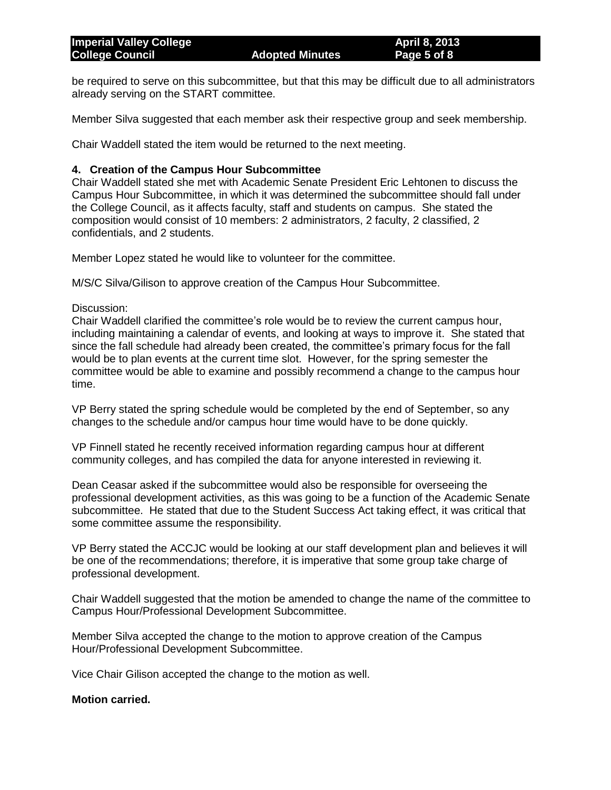be required to serve on this subcommittee, but that this may be difficult due to all administrators already serving on the START committee.

Member Silva suggested that each member ask their respective group and seek membership.

Chair Waddell stated the item would be returned to the next meeting.

# **4. Creation of the Campus Hour Subcommittee**

Chair Waddell stated she met with Academic Senate President Eric Lehtonen to discuss the Campus Hour Subcommittee, in which it was determined the subcommittee should fall under the College Council, as it affects faculty, staff and students on campus. She stated the composition would consist of 10 members: 2 administrators, 2 faculty, 2 classified, 2 confidentials, and 2 students.

Member Lopez stated he would like to volunteer for the committee.

M/S/C Silva/Gilison to approve creation of the Campus Hour Subcommittee.

## Discussion:

Chair Waddell clarified the committee's role would be to review the current campus hour, including maintaining a calendar of events, and looking at ways to improve it. She stated that since the fall schedule had already been created, the committee's primary focus for the fall would be to plan events at the current time slot. However, for the spring semester the committee would be able to examine and possibly recommend a change to the campus hour time.

VP Berry stated the spring schedule would be completed by the end of September, so any changes to the schedule and/or campus hour time would have to be done quickly.

VP Finnell stated he recently received information regarding campus hour at different community colleges, and has compiled the data for anyone interested in reviewing it.

Dean Ceasar asked if the subcommittee would also be responsible for overseeing the professional development activities, as this was going to be a function of the Academic Senate subcommittee. He stated that due to the Student Success Act taking effect, it was critical that some committee assume the responsibility.

VP Berry stated the ACCJC would be looking at our staff development plan and believes it will be one of the recommendations; therefore, it is imperative that some group take charge of professional development.

Chair Waddell suggested that the motion be amended to change the name of the committee to Campus Hour/Professional Development Subcommittee.

Member Silva accepted the change to the motion to approve creation of the Campus Hour/Professional Development Subcommittee.

Vice Chair Gilison accepted the change to the motion as well.

## **Motion carried.**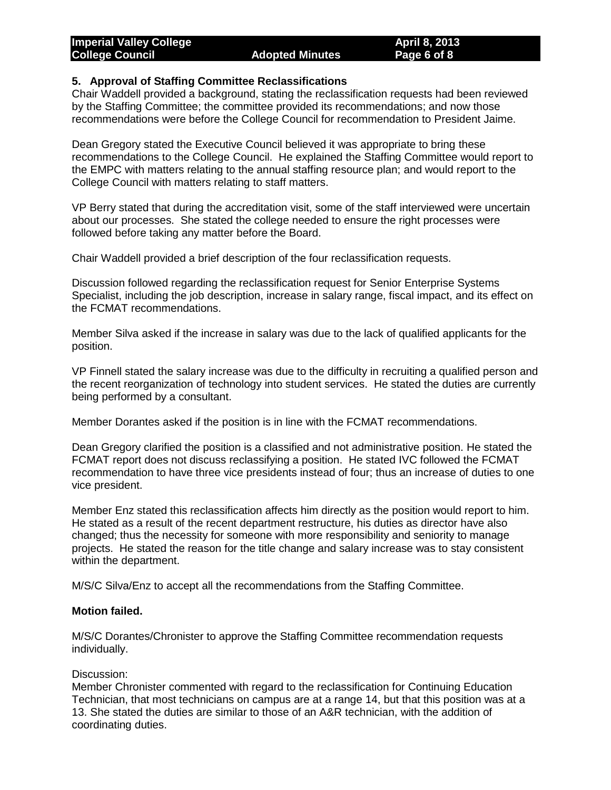## **5. Approval of Staffing Committee Reclassifications**

Chair Waddell provided a background, stating the reclassification requests had been reviewed by the Staffing Committee; the committee provided its recommendations; and now those recommendations were before the College Council for recommendation to President Jaime.

Dean Gregory stated the Executive Council believed it was appropriate to bring these recommendations to the College Council. He explained the Staffing Committee would report to the EMPC with matters relating to the annual staffing resource plan; and would report to the College Council with matters relating to staff matters.

VP Berry stated that during the accreditation visit, some of the staff interviewed were uncertain about our processes. She stated the college needed to ensure the right processes were followed before taking any matter before the Board.

Chair Waddell provided a brief description of the four reclassification requests.

Discussion followed regarding the reclassification request for Senior Enterprise Systems Specialist, including the job description, increase in salary range, fiscal impact, and its effect on the FCMAT recommendations.

Member Silva asked if the increase in salary was due to the lack of qualified applicants for the position.

VP Finnell stated the salary increase was due to the difficulty in recruiting a qualified person and the recent reorganization of technology into student services. He stated the duties are currently being performed by a consultant.

Member Dorantes asked if the position is in line with the FCMAT recommendations.

Dean Gregory clarified the position is a classified and not administrative position. He stated the FCMAT report does not discuss reclassifying a position. He stated IVC followed the FCMAT recommendation to have three vice presidents instead of four; thus an increase of duties to one vice president.

Member Enz stated this reclassification affects him directly as the position would report to him. He stated as a result of the recent department restructure, his duties as director have also changed; thus the necessity for someone with more responsibility and seniority to manage projects. He stated the reason for the title change and salary increase was to stay consistent within the department.

M/S/C Silva/Enz to accept all the recommendations from the Staffing Committee.

## **Motion failed.**

M/S/C Dorantes/Chronister to approve the Staffing Committee recommendation requests individually.

## Discussion:

Member Chronister commented with regard to the reclassification for Continuing Education Technician, that most technicians on campus are at a range 14, but that this position was at a 13. She stated the duties are similar to those of an A&R technician, with the addition of coordinating duties.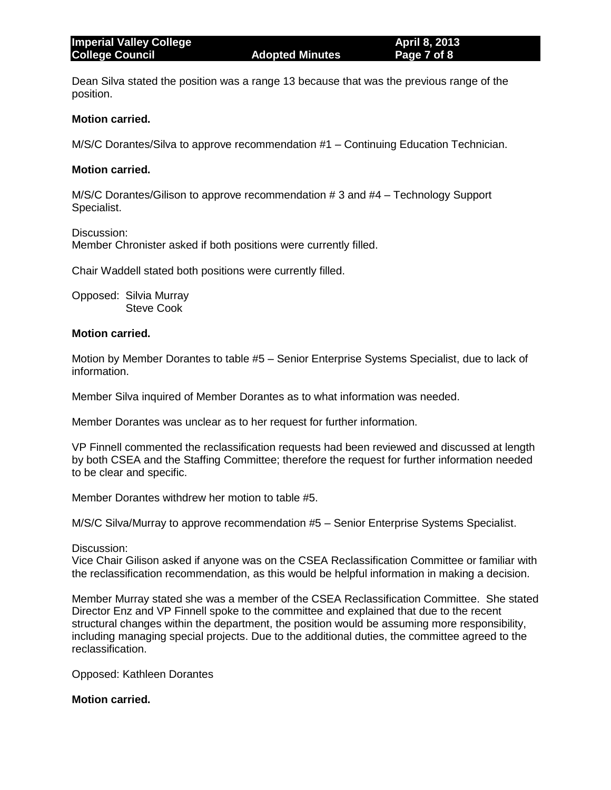Dean Silva stated the position was a range 13 because that was the previous range of the position.

#### **Motion carried.**

M/S/C Dorantes/Silva to approve recommendation #1 – Continuing Education Technician.

#### **Motion carried.**

M/S/C Dorantes/Gilison to approve recommendation # 3 and #4 – Technology Support Specialist.

Discussion:

Member Chronister asked if both positions were currently filled.

Chair Waddell stated both positions were currently filled.

Opposed: Silvia Murray Steve Cook

#### **Motion carried.**

Motion by Member Dorantes to table #5 – Senior Enterprise Systems Specialist, due to lack of information.

Member Silva inquired of Member Dorantes as to what information was needed.

Member Dorantes was unclear as to her request for further information.

VP Finnell commented the reclassification requests had been reviewed and discussed at length by both CSEA and the Staffing Committee; therefore the request for further information needed to be clear and specific.

Member Dorantes withdrew her motion to table #5.

M/S/C Silva/Murray to approve recommendation #5 – Senior Enterprise Systems Specialist.

Discussion:

Vice Chair Gilison asked if anyone was on the CSEA Reclassification Committee or familiar with the reclassification recommendation, as this would be helpful information in making a decision.

Member Murray stated she was a member of the CSEA Reclassification Committee. She stated Director Enz and VP Finnell spoke to the committee and explained that due to the recent structural changes within the department, the position would be assuming more responsibility, including managing special projects. Due to the additional duties, the committee agreed to the reclassification.

Opposed: Kathleen Dorantes

## **Motion carried.**